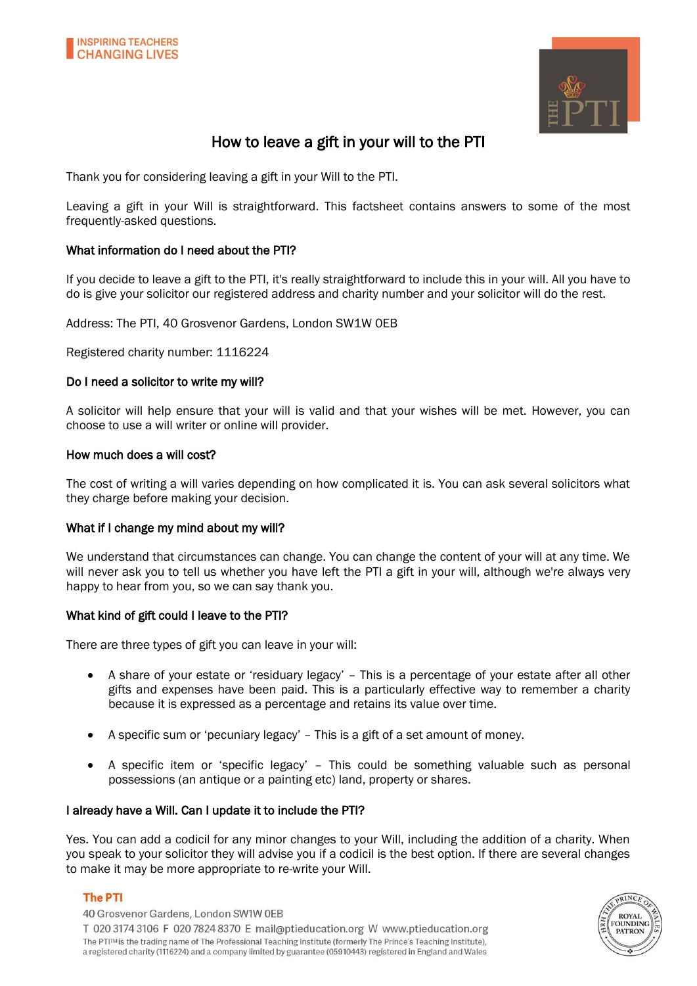



# How to leave a gift in your will to the PTI

Thank you for considering leaving a gift in your Will to the PTI.

Leaving a gift in your Will is straightforward. This factsheet contains answers to some of the most frequently-asked questions.

### What information do I need about the PTI?

If you decide to leave a gift to the PTI, it's really straightforward to include this in your will. All you have to do is give your solicitor our registered address and charity number and your solicitor will do the rest.

Address: The PTI, 40 Grosvenor Gardens, London SW1W 0EB

Registered charity number: 1116224

#### Do I need a solicitor to write my will?

A solicitor will help ensure that your will is valid and that your wishes will be met. However, you can choose to use a will writer or online will provider.

#### How much does a will cost?

The cost of writing a will varies depending on how complicated it is. You can ask several solicitors what they charge before making your decision.

#### What if I change my mind about my will?

We understand that circumstances can change. You can change the content of your will at any time. We will never ask you to tell us whether you have left the PTI a gift in your will, although we're always very happy to hear from you, so we can say thank you.

#### What kind of gift could I leave to the PTI?

There are three types of gift you can leave in your will:

- A share of your estate or 'residuary legacy' This is a percentage of your estate after all other gifts and expenses have been paid. This is a particularly effective way to remember a charity because it is expressed as a percentage and retains its value over time.
- A specific sum or 'pecuniary legacy' This is a gift of a set amount of money.
- A specific item or 'specific legacy' This could be something valuable such as personal possessions (an antique or a painting etc) land, property or shares.

#### I already have a Will. Can I update it to include the PTI?

Yes. You can add a codicil for any minor changes to your Will, including the addition of a charity. When you speak to your solicitor they will advise you if a codicil is the best option. If there are several changes to make it may be more appropriate to re-write your Will.

#### **The PTI**

40 Grosvenor Gardens, London SW1W OEB T 020 3174 3106 F 020 7824 8370 E mail@ptieducation.org W www.ptieducation.org The PTITM is the trading name of The Professional Teaching Institute (formerly The Prince's Teaching Institute), a registered charity (1116224) and a company limited by guarantee (05910443) registered in England and Wales